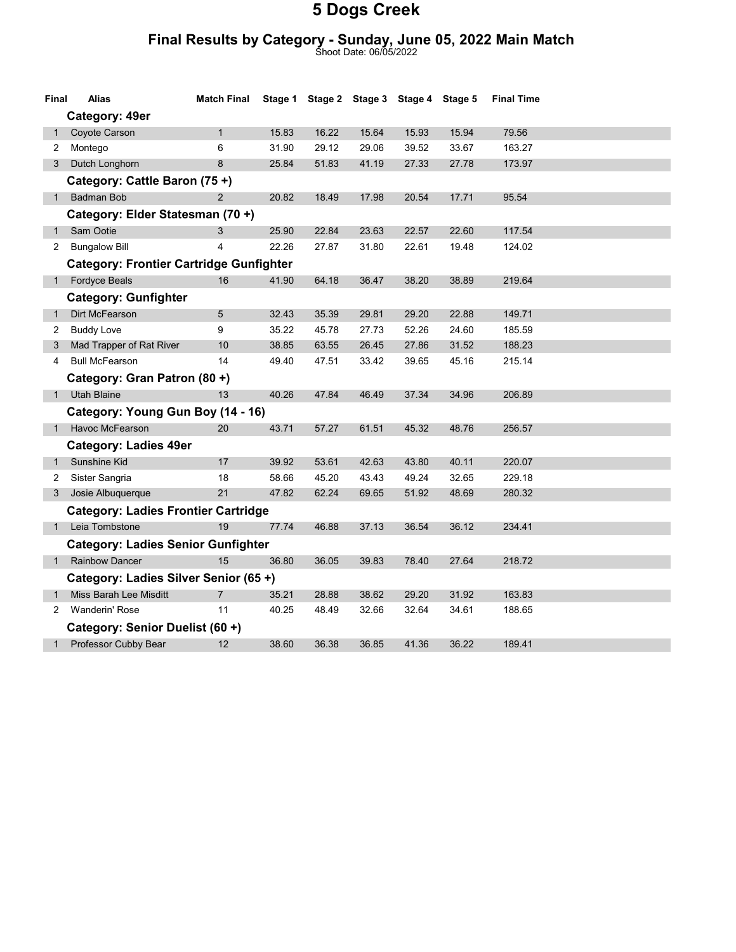#### Final Results by Category - Sunday, June 05, 2022 Main Match

Shoot Date: 06/05/2022

| Final        | Alias                                          | <b>Match Final</b> | Stage 1 |       |       | Stage 2 Stage 3 Stage 4 Stage 5 |       | <b>Final Time</b> |  |
|--------------|------------------------------------------------|--------------------|---------|-------|-------|---------------------------------|-------|-------------------|--|
|              | Category: 49er                                 |                    |         |       |       |                                 |       |                   |  |
| 1            | Coyote Carson                                  | 1                  | 15.83   | 16.22 | 15.64 | 15.93                           | 15.94 | 79.56             |  |
| 2            | Montego                                        | 6                  | 31.90   | 29.12 | 29.06 | 39.52                           | 33.67 | 163.27            |  |
| 3            | Dutch Longhorn                                 | 8                  | 25.84   | 51.83 | 41.19 | 27.33                           | 27.78 | 173.97            |  |
|              | Category: Cattle Baron (75+)                   |                    |         |       |       |                                 |       |                   |  |
| $1 \quad$    | Badman Bob                                     | $\overline{2}$     | 20.82   | 18.49 | 17.98 | 20.54                           | 17.71 | 95.54             |  |
|              | Category: Elder Statesman (70 +)               |                    |         |       |       |                                 |       |                   |  |
| $\mathbf 1$  | Sam Ootie                                      | 3                  | 25.90   | 22.84 | 23.63 | 22.57                           | 22.60 | 117.54            |  |
| 2            | <b>Bungalow Bill</b>                           | 4                  | 22.26   | 27.87 | 31.80 | 22.61                           | 19.48 | 124.02            |  |
|              | <b>Category: Frontier Cartridge Gunfighter</b> |                    |         |       |       |                                 |       |                   |  |
| 1            | Fordyce Beals                                  | 16                 | 41.90   | 64.18 | 36.47 | 38.20                           | 38.89 | 219.64            |  |
|              | <b>Category: Gunfighter</b>                    |                    |         |       |       |                                 |       |                   |  |
| $\mathbf{1}$ | Dirt McFearson                                 | 5                  | 32.43   | 35.39 | 29.81 | 29.20                           | 22.88 | 149.71            |  |
| 2            | <b>Buddy Love</b>                              | 9                  | 35.22   | 45.78 | 27.73 | 52.26                           | 24.60 | 185.59            |  |
| 3            | Mad Trapper of Rat River                       | 10                 | 38.85   | 63.55 | 26.45 | 27.86                           | 31.52 | 188.23            |  |
| 4            | <b>Bull McFearson</b>                          | 14                 | 49.40   | 47.51 | 33.42 | 39.65                           | 45.16 | 215.14            |  |
|              | Category: Gran Patron (80 +)                   |                    |         |       |       |                                 |       |                   |  |
| 1            | <b>Utah Blaine</b>                             | 13                 | 40.26   | 47.84 | 46.49 | 37.34                           | 34.96 | 206.89            |  |
|              | Category: Young Gun Boy (14 - 16)              |                    |         |       |       |                                 |       |                   |  |
|              | Havoc McFearson                                | 20                 | 43.71   | 57.27 | 61.51 | 45.32                           | 48.76 | 256.57            |  |
|              | <b>Category: Ladies 49er</b>                   |                    |         |       |       |                                 |       |                   |  |
| 1            | Sunshine Kid                                   | 17                 | 39.92   | 53.61 | 42.63 | 43.80                           | 40.11 | 220.07            |  |
| 2            | Sister Sangria                                 | 18                 | 58.66   | 45.20 | 43.43 | 49.24                           | 32.65 | 229.18            |  |
| 3            | Josie Albuquerque                              | 21                 | 47.82   | 62.24 | 69.65 | 51.92                           | 48.69 | 280.32            |  |
|              | <b>Category: Ladies Frontier Cartridge</b>     |                    |         |       |       |                                 |       |                   |  |
| $1 \quad$    | Leia Tombstone                                 | 19                 | 77.74   | 46.88 | 37.13 | 36.54                           | 36.12 | 234.41            |  |
|              | <b>Category: Ladies Senior Gunfighter</b>      |                    |         |       |       |                                 |       |                   |  |
| $\mathbf{1}$ | Rainbow Dancer                                 | 15                 | 36.80   | 36.05 | 39.83 | 78.40                           | 27.64 | 218.72            |  |
|              | Category: Ladies Silver Senior (65+)           |                    |         |       |       |                                 |       |                   |  |
| 1            | Miss Barah Lee Misditt                         | $\overline{7}$     | 35.21   | 28.88 | 38.62 | 29.20                           | 31.92 | 163.83            |  |
| 2            | <b>Wanderin' Rose</b>                          | 11                 | 40.25   | 48.49 | 32.66 | 32.64                           | 34.61 | 188.65            |  |
|              | Category: Senior Duelist (60 +)                |                    |         |       |       |                                 |       |                   |  |
|              | Professor Cubby Bear                           | 12                 | 38.60   | 36.38 | 36.85 | 41.36                           | 36.22 | 189.41            |  |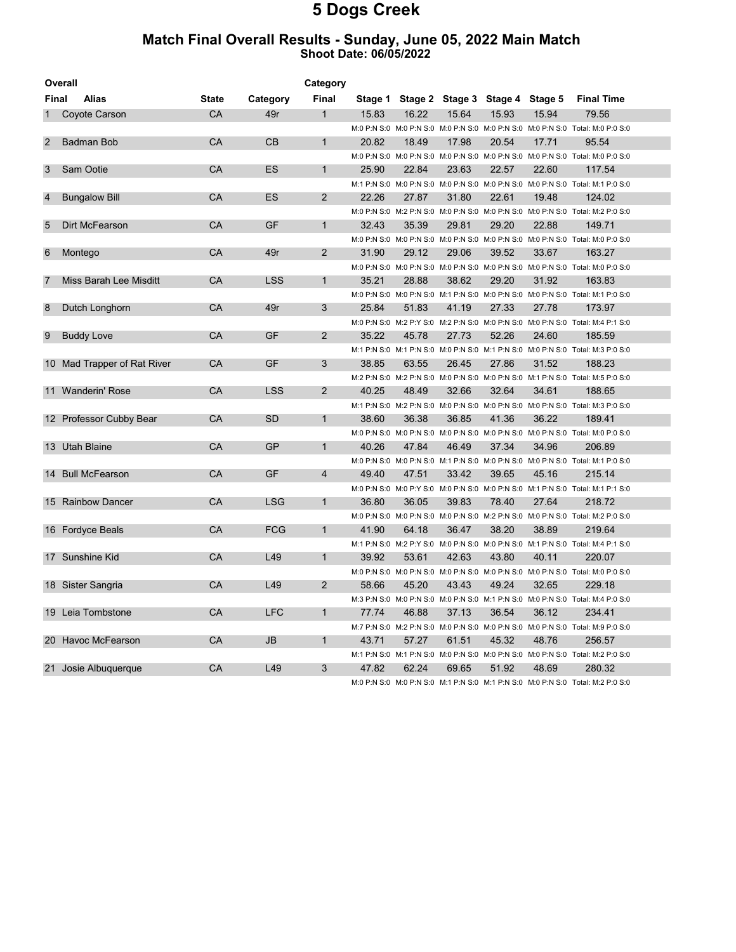#### Match Final Overall Results - Sunday, June 05, 2022 Main Match Shoot Date: 06/05/2022

| Overall<br>Category |                             |              |            |                |       |       |                                         |       |       |                                                                                            |
|---------------------|-----------------------------|--------------|------------|----------------|-------|-------|-----------------------------------------|-------|-------|--------------------------------------------------------------------------------------------|
| <b>Final</b>        | <b>Alias</b>                | <b>State</b> | Category   | <b>Final</b>   |       |       | Stage 1 Stage 2 Stage 3 Stage 4 Stage 5 |       |       | <b>Final Time</b>                                                                          |
| $\mathbf 1$         | Coyote Carson               | CA           | 49r        | $\mathbf{1}$   | 15.83 | 16.22 | 15.64                                   | 15.93 | 15.94 | 79.56                                                                                      |
|                     |                             |              |            |                |       |       |                                         |       |       | M:0 P:N S:0 M:0 P:N S:0 M:0 P:N S:0 M:0 P:N S:0 M:0 P:N S:0 Total: M:0 P:0 S:0             |
| 2                   | <b>Badman Bob</b>           | CA           | CB         | $\mathbf{1}$   | 20.82 | 18.49 | 17.98                                   | 20.54 | 17.71 | 95.54                                                                                      |
|                     |                             |              |            |                |       |       |                                         |       |       | M:0 P:N S:0 M:0 P:N S:0 M:0 P:N S:0 M:0 P:N S:0 M:0 P:N S:0 Total: M:0 P:0 S:0             |
| 3                   | Sam Ootie                   | CA           | ES         | $\mathbf{1}$   | 25.90 | 22.84 | 23.63                                   | 22.57 | 22.60 | 117.54                                                                                     |
|                     |                             |              |            |                |       |       |                                         |       |       | M:1 P:N S:0 M:0 P:N S:0 M:0 P:N S:0 M:0 P:N S:0 M:0 P:N S:0 M:0 P:N S:0 Total: M:1 P:0 S:0 |
| $\overline{4}$      | <b>Bungalow Bill</b>        | CA           | <b>ES</b>  | 2              | 22.26 | 27.87 | 31.80                                   | 22.61 | 19.48 | 124.02                                                                                     |
|                     |                             |              |            |                |       |       |                                         |       |       | M:0 P:N S:0 M:2 P:N S:0 M:0 P:N S:0 M:0 P:N S:0 M:0 P:N S:0 Total: M:2 P:0 S:0             |
| 5                   | Dirt McFearson              | CA           | <b>GF</b>  | $\mathbf{1}$   | 32.43 | 35.39 | 29.81                                   | 29.20 | 22.88 | 149.71                                                                                     |
|                     |                             |              |            |                |       |       |                                         |       |       | M:0 P:N S:0 M:0 P:N S:0 M:0 P:N S:0 M:0 P:N S:0 M:0 P:N S:0 Total: M:0 P:0 S:0             |
| 6                   | Montego                     | CA           | 49r        | 2              | 31.90 | 29.12 | 29.06                                   | 39.52 | 33.67 | 163.27                                                                                     |
|                     |                             |              |            |                |       |       |                                         |       |       | M:0 P:N S:0 M:0 P:N S:0 M:0 P:N S:0 M:0 P:N S:0 M:0 P:N S:0 Total: M:0 P:0 S:0             |
| 7                   | Miss Barah Lee Misditt      | CA           | <b>LSS</b> | $\mathbf{1}$   | 35.21 | 28.88 | 38.62                                   | 29.20 | 31.92 | 163.83                                                                                     |
|                     |                             |              |            |                |       |       |                                         |       |       | M:0 P:N S:0 M:0 P:N S:0 M:1 P:N S:0 M:0 P:N S:0 M:0 P:N S:0 Total: M:1 P:0 S:0             |
| 8                   | Dutch Longhorn              | CA           | 49r        | 3              | 25.84 | 51.83 | 41.19                                   | 27.33 | 27.78 | 173.97                                                                                     |
|                     |                             |              |            |                |       |       |                                         |       |       | M:0 P:N S:0 M:2 P:Y S:0 M:2 P:N S:0 M:0 P:N S:0 M:0 P:N S:0 Total: M:4 P:1 S:0             |
| 9                   | <b>Buddy Love</b>           | CA           | <b>GF</b>  | 2              | 35.22 | 45.78 | 27.73                                   | 52.26 | 24.60 | 185.59                                                                                     |
|                     |                             |              |            |                |       |       |                                         |       |       | M:1 P:N S:0 M:1 P:N S:0 M:0 P:N S:0 M:1 P:N S:0 M:0 P:N S:0 Total: M:3 P:0 S:0             |
|                     | 10 Mad Trapper of Rat River | CA           | <b>GF</b>  | 3              | 38.85 | 63.55 | 26.45                                   | 27.86 | 31.52 | 188.23                                                                                     |
|                     |                             |              |            |                |       |       |                                         |       |       | M:2 P:N S:0 M:2 P:N S:0 M:0 P:N S:0 M:0 P:N S:0 M:1 P:N S:0 Total: M:5 P:0 S:0             |
|                     | 11 Wanderin' Rose           | CA           | <b>LSS</b> | 2              | 40.25 | 48.49 | 32.66                                   | 32.64 | 34.61 | 188.65                                                                                     |
|                     |                             |              |            |                |       |       |                                         |       |       | M:1 P:N S:0 M:2 P:N S:0 M:0 P:N S:0 M:0 P:N S:0 M:0 P:N S:0 Total: M:3 P:0 S:0             |
|                     | 12 Professor Cubby Bear     | <b>CA</b>    | <b>SD</b>  | $\mathbf{1}$   | 38.60 | 36.38 | 36.85                                   | 41.36 | 36.22 | 189.41                                                                                     |
|                     |                             |              |            |                |       |       |                                         |       |       | M:0 P:N S:0 M:0 P:N S:0 M:0 P:N S:0 M:0 P:N S:0 M:0 P:N S:0 M:0 P:N S:0 Total: M:0 P:0 S:0 |
|                     | 13 Utah Blaine              | CA           | <b>GP</b>  | $\mathbf{1}$   | 40.26 | 47.84 | 46.49                                   | 37.34 | 34.96 | 206.89                                                                                     |
|                     |                             |              |            |                |       |       |                                         |       |       | M:0 P:N S:0 M:0 P:N S:0 M:1 P:N S:0 M:0 P:N S:0 M:0 P:N S:0 Total: M:1 P:0 S:0             |
|                     | 14 Bull McFearson           | CA           | <b>GF</b>  | $\overline{4}$ | 49.40 | 47.51 | 33.42                                   | 39.65 | 45.16 | 215.14                                                                                     |
|                     |                             |              |            |                |       |       |                                         |       |       | M:0 P:N S:0 M:0 P:Y S:0 M:0 P:N S:0 M:0 P:N S:0 M:1 P:N S:0 Total: M:1 P:1 S:0             |
|                     | 15 Rainbow Dancer           | CA           | <b>LSG</b> | $\mathbf{1}$   | 36.80 | 36.05 | 39.83                                   | 78.40 | 27.64 | 218.72                                                                                     |
|                     |                             |              |            |                |       |       |                                         |       |       | M:0 P:N S:0 M:0 P:N S:0 M:0 P:N S:0 M:2 P:N S:0 M:0 P:N S:0 Total: M:2 P:0 S:0             |
|                     | 16 Fordyce Beals            | CA           | <b>FCG</b> | $\mathbf{1}$   | 41.90 | 64.18 | 36.47                                   | 38.20 | 38.89 | 219.64                                                                                     |
|                     |                             |              |            |                |       |       |                                         |       |       | M:1 P:N S:0 M:2 P:Y S:0 M:0 P:N S:0 M:0 P:N S:0 M:1 P:N S:0 Total: M:4 P:1 S:0             |
|                     | 17 Sunshine Kid             | CA           | L49        | $\mathbf{1}$   | 39.92 | 53.61 | 42.63                                   | 43.80 | 40.11 | 220.07                                                                                     |
|                     |                             |              |            |                |       |       |                                         |       |       | M:0 P:N S:0 M:0 P:N S:0 M:0 P:N S:0 M:0 P:N S:0 M:0 P:N S:0 M:0 P:N S:0 Total: M:0 P:0 S:0 |
|                     | 18 Sister Sangria           | CA           | L49        | $\overline{2}$ | 58.66 | 45.20 | 43.43                                   | 49.24 | 32.65 | 229.18                                                                                     |
|                     |                             |              |            |                |       |       |                                         |       |       | M:3 P:N S:0 M:0 P:N S:0 M:0 P:N S:0 M:1 P:N S:0 M:0 P:N S:0 Total: M:4 P:0 S:0             |
|                     | 19 Leia Tombstone           | <b>CA</b>    | <b>LFC</b> | $\mathbf{1}$   | 77.74 | 46.88 | 37.13                                   | 36.54 | 36.12 | 234.41                                                                                     |
|                     |                             |              |            |                |       |       |                                         |       |       | M:7 P:N S:0 M:2 P:N S:0 M:0 P:N S:0 M:0 P:N S:0 M:0 P:N S:0 Total: M:9 P:0 S:0             |
|                     | 20 Havoc McFearson          | CA           | <b>JB</b>  | 1              | 43.71 | 57.27 | 61.51                                   | 45.32 | 48.76 | 256.57                                                                                     |
|                     |                             |              |            |                |       |       |                                         |       |       | M:1 P:N S:0 M:1 P:N S:0 M:0 P:N S:0 M:0 P:N S:0 M:0 P:N S:0 M:0 P:N S:0 Total: M:2 P:0 S:0 |
|                     | 21 Josie Albuguergue        | CA           | L49        | 3              | 47.82 | 62.24 | 69.65                                   | 51.92 | 48.69 | 280.32                                                                                     |
|                     |                             |              |            |                |       |       |                                         |       |       | M:0 P:N S:0 M:0 P:N S:0 M:1 P:N S:0 M:1 P:N S:0 M:0 P:N S:0 Total: M:2 P:0 S:0             |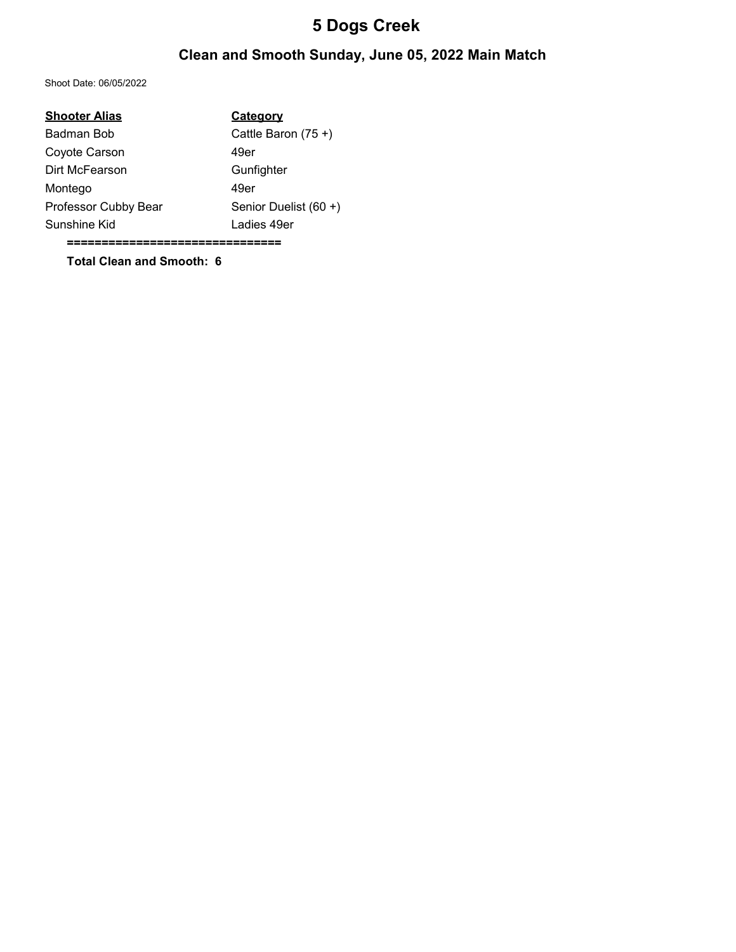### Clean and Smooth Sunday, June 05, 2022 Main Match

Shoot Date: 06/05/2022

| <b>Shooter Alias</b> | Category              |
|----------------------|-----------------------|
| Badman Bob           | Cattle Baron $(75 +)$ |
| Coyote Carson        | 49er                  |
| Dirt McFearson       | Gunfighter            |
| Montego              | 49er                  |
| Professor Cubby Bear | Senior Duelist (60 +) |
| Sunshine Kid         | Ladies 49er           |
|                      |                       |

Total Clean and Smooth: 6